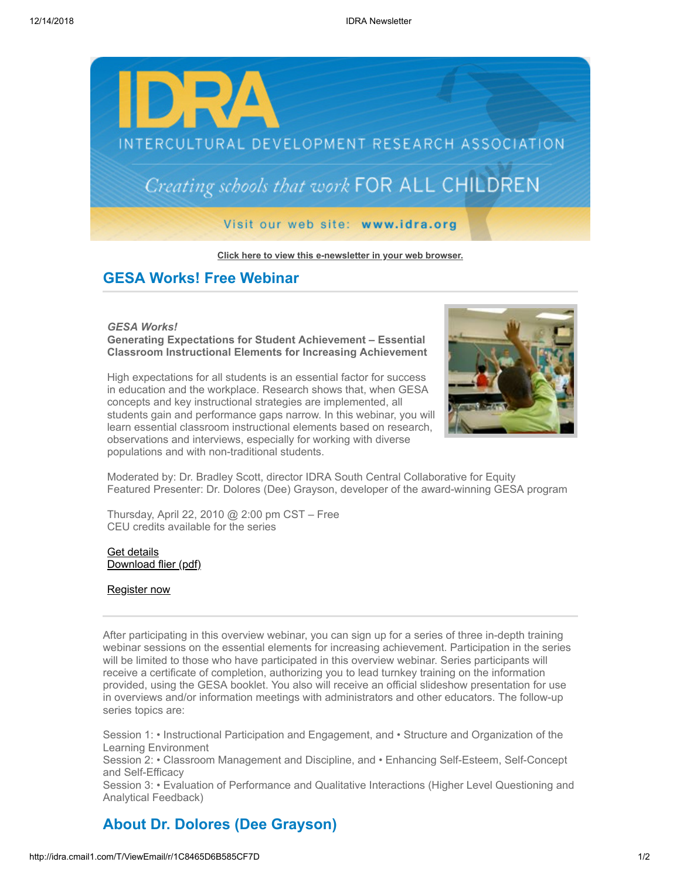

**[Click here to view this e-newsletter in your web browser.](http://idra.createsend1.com/t/r/e/outkuj/l/)**

## **GESA Works! Free Webinar**

*GESA Works!*  **Generating Expectations for Student Achievement – Essential Classroom Instructional Elements for Increasing Achievement**



High expectations for all students is an essential factor for success in education and the workplace. Research shows that, when GESA concepts and key instructional strategies are implemented, all students gain and performance gaps narrow. In this webinar, you will learn essential classroom instructional elements based on research, observations and interviews, especially for working with diverse populations and with non-traditional students.

Moderated by: Dr. Bradley Scott, director IDRA South Central Collaborative for Equity Featured Presenter: Dr. Dolores (Dee) Grayson, developer of the award-winning GESA program

Thursday, April 22, 2010 @ 2:00 pm CST – Free CEU credits available for the series

## [Get details](http://idra.createsend1.com/t/r/l/outkuj/l/y) [Download flier \(pdf\)](http://idra.createsend1.com/t/r/l/outkuj/l/j)

## [Register now](http://idra.createsend1.com/t/r/l/outkuj/l/t)

After participating in this overview webinar, you can sign up for a series of three in-depth training webinar sessions on the essential elements for increasing achievement. Participation in the series will be limited to those who have participated in this overview webinar. Series participants will receive a certificate of completion, authorizing you to lead turnkey training on the information provided, using the GESA booklet. You also will receive an official slideshow presentation for use in overviews and/or information meetings with administrators and other educators. The follow-up series topics are:

Session 1: • Instructional Participation and Engagement, and • Structure and Organization of the Learning Environment

Session 2: • Classroom Management and Discipline, and • Enhancing Self-Esteem, Self-Concept and Self-Efficacy

Session 3: • Evaluation of Performance and Qualitative Interactions (Higher Level Questioning and Analytical Feedback)

## **About Dr. Dolores (Dee Grayson)**